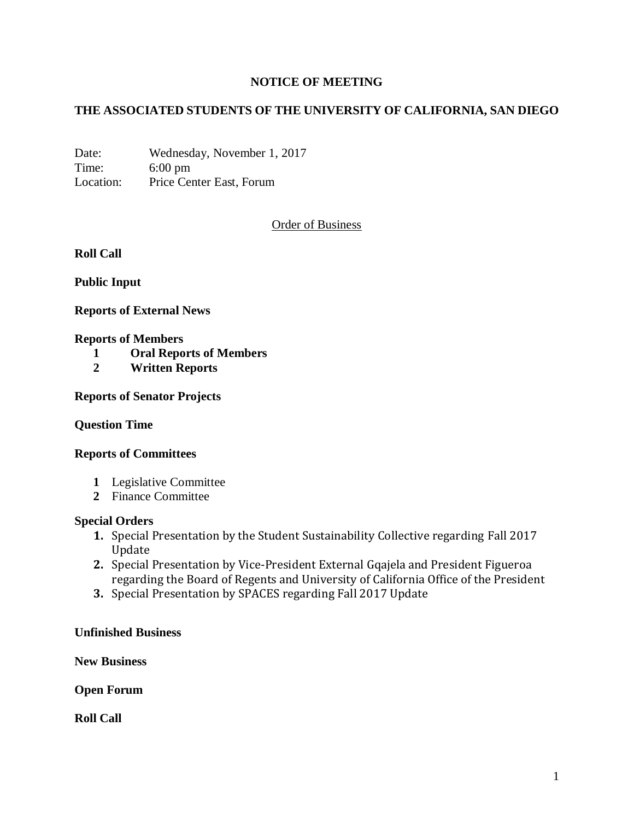# **NOTICE OF MEETING**

# **THE ASSOCIATED STUDENTS OF THE UNIVERSITY OF CALIFORNIA, SAN DIEGO**

Date: Wednesday, November 1, 2017 Time: 6:00 pm Location: Price Center East, Forum

Order of Business

**Roll Call**

**Public Input**

**Reports of External News**

#### **Reports of Members**

- **1 Oral Reports of Members**
- **2 Written Reports**

### **Reports of Senator Projects**

#### **Question Time**

#### **Reports of Committees**

- **1** Legislative Committee
- **2** Finance Committee

#### **Special Orders**

- **1.** Special Presentation by the Student Sustainability Collective regarding Fall 2017 Update
- **2.** Special Presentation by Vice-President External Gqajela and President Figueroa regarding the Board of Regents and University of California Office of the President
- **3.** Special Presentation by SPACES regarding Fall 2017 Update

### **Unfinished Business**

**New Business**

**Open Forum**

**Roll Call**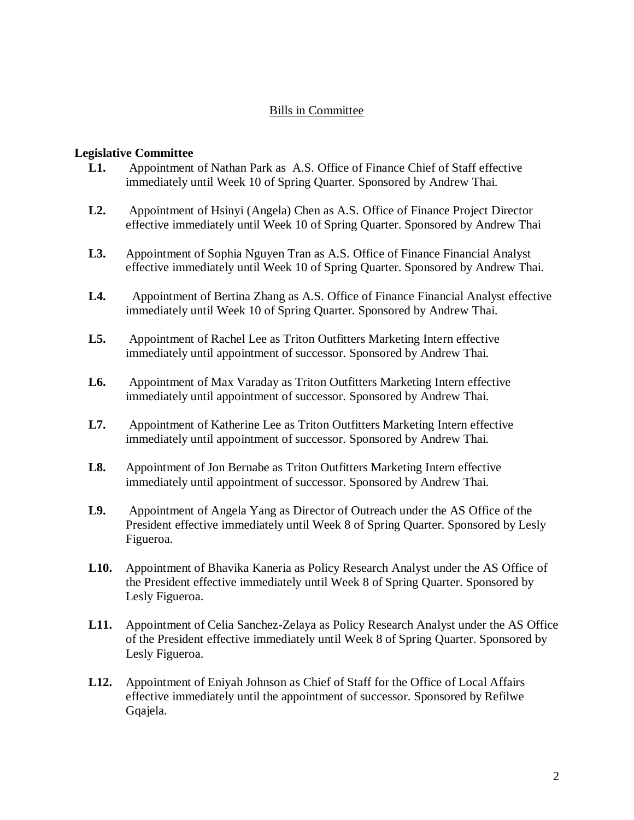# Bills in Committee

### **Legislative Committee**

- **L1.** Appointment of Nathan Park as A.S. Office of Finance Chief of Staff effective immediately until Week 10 of Spring Quarter. Sponsored by Andrew Thai.
- **L2.** Appointment of Hsinyi (Angela) Chen as A.S. Office of Finance Project Director effective immediately until Week 10 of Spring Quarter. Sponsored by Andrew Thai
- **L3.** Appointment of Sophia Nguyen Tran as A.S. Office of Finance Financial Analyst effective immediately until Week 10 of Spring Quarter. Sponsored by Andrew Thai.
- **L4.** Appointment of Bertina Zhang as A.S. Office of Finance Financial Analyst effective immediately until Week 10 of Spring Quarter. Sponsored by Andrew Thai.
- **L5.** Appointment of Rachel Lee as Triton Outfitters Marketing Intern effective immediately until appointment of successor. Sponsored by Andrew Thai.
- **L6.** Appointment of Max Varaday as Triton Outfitters Marketing Intern effective immediately until appointment of successor. Sponsored by Andrew Thai.
- **L7.** Appointment of Katherine Lee as Triton Outfitters Marketing Intern effective immediately until appointment of successor. Sponsored by Andrew Thai.
- **L8.** Appointment of Jon Bernabe as Triton Outfitters Marketing Intern effective immediately until appointment of successor. Sponsored by Andrew Thai.
- **L9.** Appointment of Angela Yang as Director of Outreach under the AS Office of the President effective immediately until Week 8 of Spring Quarter. Sponsored by Lesly Figueroa.
- **L10.** Appointment of Bhavika Kaneria as Policy Research Analyst under the AS Office of the President effective immediately until Week 8 of Spring Quarter. Sponsored by Lesly Figueroa.
- **L11.** Appointment of Celia Sanchez-Zelaya as Policy Research Analyst under the AS Office of the President effective immediately until Week 8 of Spring Quarter. Sponsored by Lesly Figueroa.
- **L12.** Appointment of Eniyah Johnson as Chief of Staff for the Office of Local Affairs effective immediately until the appointment of successor. Sponsored by Refilwe Gqajela.